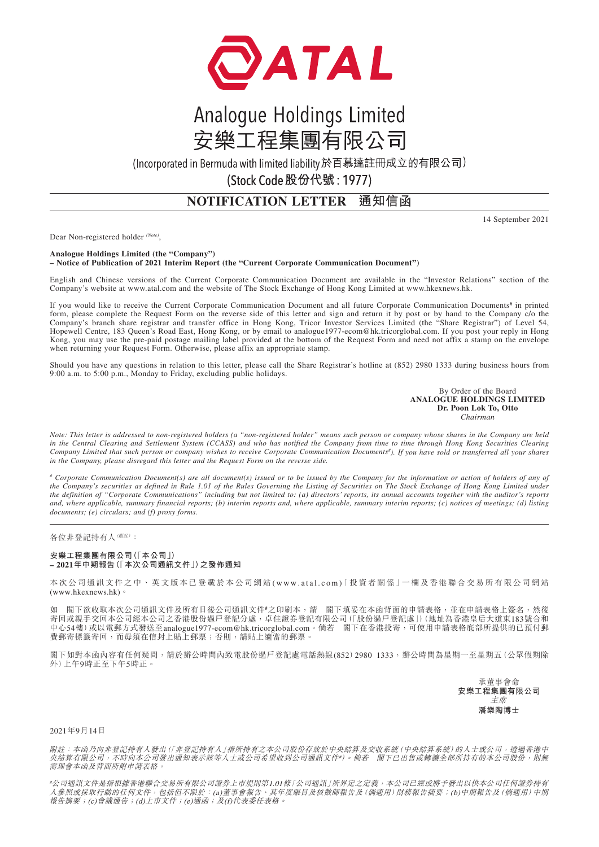

# Analogue Holdings Limited 安樂工程集團有限公司

(Incorporated in Bermuda with limited liability於百慕達註冊成立的有限公司)

(Stock Code 股份代號: 1977)

## **NOTIFICATION LETTER 通知信函**

14 September 2021

Dear Non-registered holder *(Note)*,

#### **Analogue Holdings Limited (the "Company") – Notice of Publication of 2021 Interim Report (the "Current Corporate Communication Document")**

English and Chinese versions of the Current Corporate Communication Document are available in the "Investor Relations" section of the Company's website at www.atal.com and the website of The Stock Exchange of Hong Kong Limited at www.hkexnews.hk.

If you would like to receive the Current Corporate Communication Document and all future Corporate Communication Documents<sup>#</sup> in printed form, please complete the Request Form on the reverse side of this letter and sign and return it by post or by hand to the Company c/o the Company's branch share registrar and transfer office in Hong Kong, Tricor Investor Services Limited (the "Share Registrar") of Level 54, Hopewell Centre, 183 Queen's Road East, Hong Kong, or by email to analogue1977-ecom@hk.tricorglobal.com. If you post your reply in Hong Kong, you may use the pre-paid postage mailing label provided at the bottom of the Request Form and need not affix a stamp on the envelope when returning your Request Form. Otherwise, please affix an appropriate stamp.

Should you have any questions in relation to this letter, please call the Share Registrar's hotline at (852) 2980 1333 during business hours from 9:00 a.m. to 5:00 p.m., Monday to Friday, excluding public holidays.

> By Order of the Board **ANALOGUE HOLDINGS LIMITED Dr. Poon Lok To, Otto** *Chairman*

*Note: This letter is addressed to non-registered holders (a "non-registered holder" means such person or company whose shares in the Company are held in the Central Clearing and Settlement System (CCASS) and who has notified the Company from time to time through Hong Kong Securities Clearing Company Limited that such person or company wishes to receive Corporate Communication Documents# ). If you have sold or transferred all your shares in the Company, please disregard this letter and the Request Form on the reverse side.*

*# Corporate Communication Document(s) are all document(s) issued or to be issued by the Company for the information or action of holders of any of the Company's securities as defined in Rule 1.01 of the Rules Governing the Listing of Securities on The Stock Exchange of Hong Kong Limited under the definition of "Corporate Communications" including but not limited to: (a) directors' reports, its annual accounts together with the auditor's reports and, where applicable, summary financial reports; (b) interim reports and, where applicable, summary interim reports; (c) notices of meetings; (d) listing documents; (e) circulars; and (f) proxy forms.*

各位非登記持有人(附註):

#### **安樂工程集團有限公司(「本公司」) – 2021年中期報告(「本次公司通訊文件」)之發佈通知**

本次公司通訊文件之中、英文版本已登載於本公司網站 (www.atal.com)「投資者關係」一欄及香港聯合交易所有限公司網站 (www.hkexnews.hk)。

閣下欲收取本次公司通訊文件及所有日後公司通訊文件<sup>#</sup>之印刷本,請 閣下填妥在本函背面的申請表格,並在申請表格上簽名,然後 寄回或親手交回本公司經本公司之香港股份過戶登記分處,卓佳證券登記有限公司(「股份過戶登記處」)(地址為香港皇后大道東183號合和 中心54樓)或以電郵方式發送至analogue1977-ecom@hk.tricorglobal.com。倘若 閣下在香港投寄,可使用申請表格底部所提供的已預付郵 費郵寄標籤寄回,而毋須在信封上貼上郵票;否則,請貼上適當的郵票。

閣下如對本函內容有任何疑問,請於辦公時間內致電股份過戶登記處電話熱線(852)2980 1333,辦公時間為星期一至星期五(公眾假期除 外)上午9時正至下午5時正。

> 承董事會命 **安樂工程集團有限公司** 主席 **潘樂陶博士**

#### 2021年9月14日

附註:本函乃向非登記持有人發出(「非登記持有人」指所持有之本公司股份存放於中央結算及交收系統(中央結算系統)的人士或公司,透過香港中 央結算有限公司,不時向本公司發出通知表示該等人士或公司希望收到公司通訊文件#)。倘若 閣下已出售或轉讓全部所持有的本公司股份,則無 需理會本函及背面所附申請表格。

#公司通訊文件是指根據香港聯合交易所有限公司證券上市規則第1.01條「公司通訊」所界定之定義,本公司已經或將予發出以供本公司任何證券持有 人參照或採取行動的任何文件,包括但不限於:(a)董事會報告、其年度賬目及核數師報告及(倘適用)財務報告摘要;(b)中期報告及(倘適用)中期 報告摘要;(c)會議通告;(d)上市文件;(e)通函;及(f)代表委任表格。